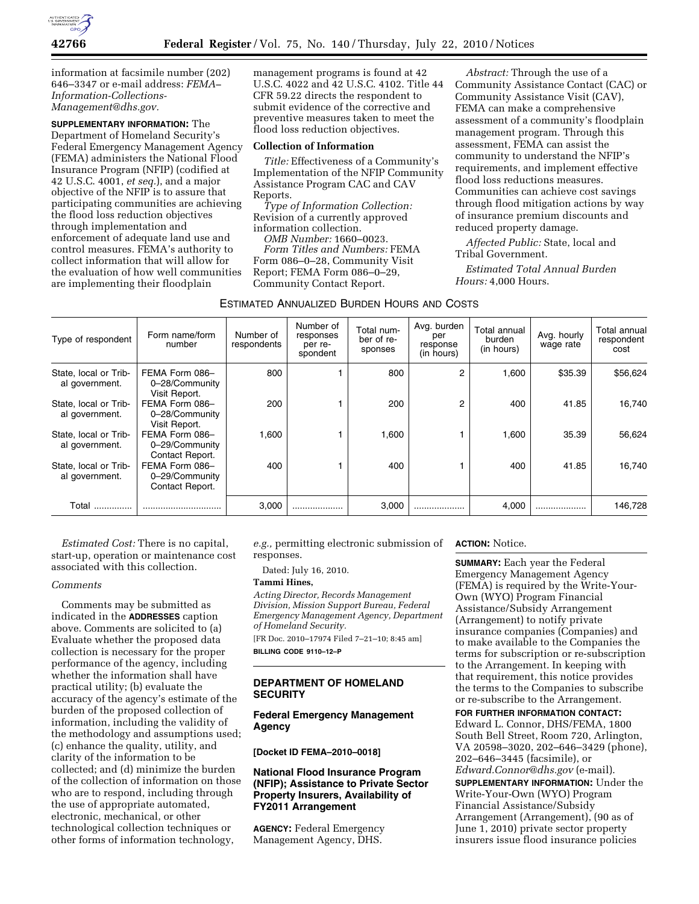

information at facsimile number (202) 646–3347 or e-mail address: *FEMA– [Information-Collections-](mailto:Information-Collections-Management@dhs.gov)[Management@dhs.gov.](mailto:Information-Collections-Management@dhs.gov)* 

**SUPPLEMENTARY INFORMATION:** The Department of Homeland Security's Federal Emergency Management Agency (FEMA) administers the National Flood Insurance Program (NFIP) (codified at 42 U.S.C. 4001, *et seq.*), and a major objective of the NFIP is to assure that participating communities are achieving the flood loss reduction objectives through implementation and enforcement of adequate land use and control measures. FEMA's authority to collect information that will allow for the evaluation of how well communities are implementing their floodplain

management programs is found at 42 U.S.C. 4022 and 42 U.S.C. 4102. Title 44 CFR 59.22 directs the respondent to submit evidence of the corrective and preventive measures taken to meet the flood loss reduction objectives.

#### **Collection of Information**

*Title:* Effectiveness of a Community's Implementation of the NFIP Community Assistance Program CAC and CAV Reports.

*Type of Information Collection:*  Revision of a currently approved information collection.

*OMB Number:* 1660–0023.

*Form Titles and Numbers:* FEMA Form 086–0–28, Community Visit Report; FEMA Form 086–0–29, Community Contact Report.

*Abstract:* Through the use of a Community Assistance Contact (CAC) or Community Assistance Visit (CAV), FEMA can make a comprehensive assessment of a community's floodplain management program. Through this assessment, FEMA can assist the community to understand the NFIP's requirements, and implement effective flood loss reductions measures. Communities can achieve cost savings through flood mitigation actions by way of insurance premium discounts and reduced property damage.

*Affected Public:* State, local and Tribal Government.

*Estimated Total Annual Burden Hours:* 4,000 Hours.

#### ESTIMATED ANNUALIZED BURDEN HOURS AND COSTS

| Type of respondent                      | Form name/form<br>number                            | Number of<br>respondents | Number of<br>responses<br>per re-<br>spondent | Total num-<br>ber of re-<br>sponses | Avg. burden<br>per<br>response<br>(in hours) | Total annual<br>burden<br>(in hours) | Avg. hourly<br>wage rate | Total annual<br>respondent<br>cost |
|-----------------------------------------|-----------------------------------------------------|--------------------------|-----------------------------------------------|-------------------------------------|----------------------------------------------|--------------------------------------|--------------------------|------------------------------------|
| State, local or Trib-<br>al government. | FEMA Form 086-<br>0-28/Community<br>Visit Report.   | 800                      |                                               | 800                                 | 2                                            | 1,600                                | \$35.39                  | \$56,624                           |
| State, local or Trib-<br>al government. | FEMA Form 086-<br>0-28/Community<br>Visit Report.   | 200                      |                                               | 200                                 | 2                                            | 400                                  | 41.85                    | 16,740                             |
| State, local or Trib-<br>al government. | FEMA Form 086-<br>0-29/Community<br>Contact Report. | .600                     |                                               | 1,600                               |                                              | 1.600                                | 35.39                    | 56,624                             |
| State, local or Trib-<br>al government. | FEMA Form 086-<br>0-29/Community<br>Contact Report. | 400                      |                                               | 400                                 |                                              | 400                                  | 41.85                    | 16.740                             |
| Total                                   |                                                     | 3,000                    | .                                             | 3,000                               |                                              | 4,000                                | .                        | 146,728                            |

*Estimated Cost:* There is no capital, start-up, operation or maintenance cost associated with this collection.

# *Comments*

Comments may be submitted as indicated in the **ADDRESSES** caption above. Comments are solicited to (a) Evaluate whether the proposed data collection is necessary for the proper performance of the agency, including whether the information shall have practical utility; (b) evaluate the accuracy of the agency's estimate of the burden of the proposed collection of information, including the validity of the methodology and assumptions used; (c) enhance the quality, utility, and clarity of the information to be collected; and (d) minimize the burden of the collection of information on those who are to respond, including through the use of appropriate automated, electronic, mechanical, or other technological collection techniques or other forms of information technology,

*e.g.,* permitting electronic submission of responses.

Dated: July 16, 2010.

# **Tammi Hines,**

*Acting Director, Records Management Division, Mission Support Bureau, Federal Emergency Management Agency, Department of Homeland Security.* 

[FR Doc. 2010–17974 Filed 7–21–10; 8:45 am] **BILLING CODE 9110–12–P** 

## **DEPARTMENT OF HOMELAND SECURITY**

# **Federal Emergency Management Agency**

### **[Docket ID FEMA–2010–0018]**

## **National Flood Insurance Program (NFIP); Assistance to Private Sector Property Insurers, Availability of FY2011 Arrangement**

**AGENCY:** Federal Emergency Management Agency, DHS.

### **ACTION:** Notice.

**SUMMARY:** Each year the Federal Emergency Management Agency (FEMA) is required by the Write-Your-Own (WYO) Program Financial Assistance/Subsidy Arrangement (Arrangement) to notify private insurance companies (Companies) and to make available to the Companies the terms for subscription or re-subscription to the Arrangement. In keeping with that requirement, this notice provides the terms to the Companies to subscribe or re-subscribe to the Arrangement.

**FOR FURTHER INFORMATION CONTACT:**  Edward L. Connor, DHS/FEMA, 1800 South Bell Street, Room 720, Arlington, VA 20598–3020, 202–646–3429 (phone), 202–646–3445 (facsimile), or *[Edward.Connor@dhs.gov](mailto:Edward.Connor@dhs.gov)* (e-mail).

**SUPPLEMENTARY INFORMATION:** Under the Write-Your-Own (WYO) Program Financial Assistance/Subsidy Arrangement (Arrangement), (90 as of June 1, 2010) private sector property insurers issue flood insurance policies